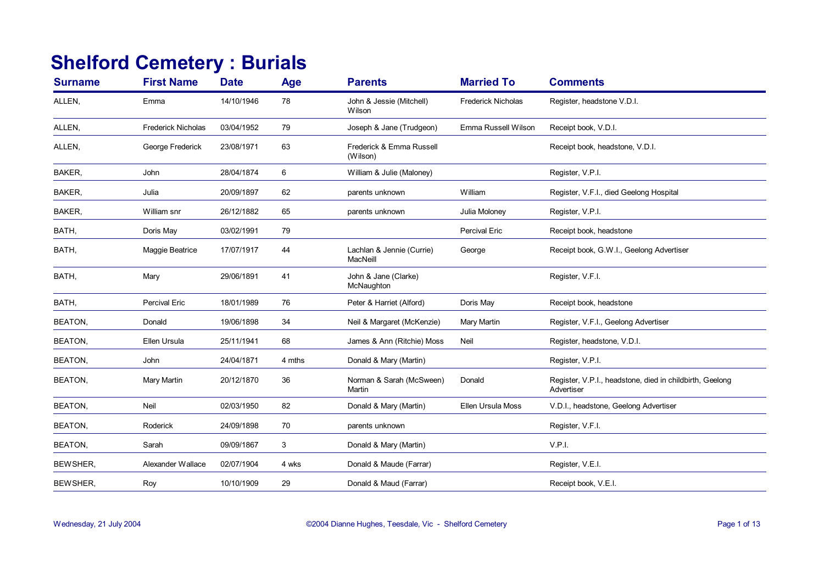## **Shelford Cemetery : Burials**

| <b>Surname</b> | <b>First Name</b>         | <b>Date</b> | Age    | <b>Parents</b>                        | <b>Married To</b>         | <b>Comments</b>                                                        |
|----------------|---------------------------|-------------|--------|---------------------------------------|---------------------------|------------------------------------------------------------------------|
| ALLEN,         | Emma                      | 14/10/1946  | 78     | John & Jessie (Mitchell)<br>Wilson    | <b>Frederick Nicholas</b> | Register, headstone V.D.I.                                             |
| ALLEN,         | <b>Frederick Nicholas</b> | 03/04/1952  | 79     | Joseph & Jane (Trudgeon)              | Emma Russell Wilson       | Receipt book, V.D.I.                                                   |
| ALLEN,         | George Frederick          | 23/08/1971  | 63     | Frederick & Emma Russell<br>(Wilson)  |                           | Receipt book, headstone, V.D.I.                                        |
| BAKER,         | John                      | 28/04/1874  | 6      | William & Julie (Maloney)             |                           | Register, V.P.I.                                                       |
| BAKER,         | Julia                     | 20/09/1897  | 62     | parents unknown                       | William                   | Register, V.F.I., died Geelong Hospital                                |
| BAKER,         | William snr               | 26/12/1882  | 65     | parents unknown                       | Julia Moloney             | Register, V.P.I.                                                       |
| BATH,          | Doris May                 | 03/02/1991  | 79     |                                       | Percival Eric             | Receipt book, headstone                                                |
| BATH,          | Maggie Beatrice           | 17/07/1917  | 44     | Lachlan & Jennie (Currie)<br>MacNeill | George                    | Receipt book, G.W.I., Geelong Advertiser                               |
| BATH,          | Mary                      | 29/06/1891  | 41     | John & Jane (Clarke)<br>McNaughton    |                           | Register, V.F.I.                                                       |
| BATH,          | <b>Percival Eric</b>      | 18/01/1989  | 76     | Peter & Harriet (Alford)              | Doris May                 | Receipt book, headstone                                                |
| <b>BEATON,</b> | Donald                    | 19/06/1898  | 34     | Neil & Margaret (McKenzie)            | Mary Martin               | Register, V.F.I., Geelong Advertiser                                   |
| <b>BEATON,</b> | Ellen Ursula              | 25/11/1941  | 68     | James & Ann (Ritchie) Moss            | Neil                      | Register, headstone, V.D.I.                                            |
| BEATON,        | John                      | 24/04/1871  | 4 mths | Donald & Mary (Martin)                |                           | Register, V.P.I.                                                       |
| <b>BEATON,</b> | Mary Martin               | 20/12/1870  | 36     | Norman & Sarah (McSween)<br>Martin    | Donald                    | Register, V.P.I., headstone, died in childbirth, Geelong<br>Advertiser |
| <b>BEATON,</b> | Neil                      | 02/03/1950  | 82     | Donald & Mary (Martin)                | Ellen Ursula Moss         | V.D.I., headstone, Geelong Advertiser                                  |
| BEATON,        | Roderick                  | 24/09/1898  | 70     | parents unknown                       |                           | Register, V.F.I.                                                       |
| <b>BEATON,</b> | Sarah                     | 09/09/1867  | 3      | Donald & Mary (Martin)                |                           | V.P.I.                                                                 |
| BEWSHER,       | Alexander Wallace         | 02/07/1904  | 4 wks  | Donald & Maude (Farrar)               |                           | Register, V.E.I.                                                       |
| BEWSHER,       | Roy                       | 10/10/1909  | 29     | Donald & Maud (Farrar)                |                           | Receipt book, V.E.I.                                                   |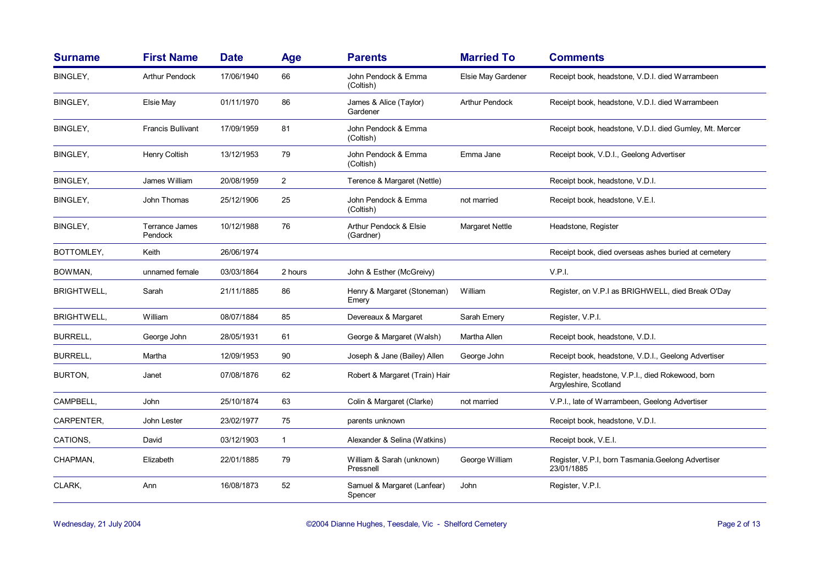| <b>Surname</b>     | <b>First Name</b>                | <b>Date</b> | <b>Age</b>     | <b>Parents</b>                         | <b>Married To</b>     | <b>Comments</b>                                                           |
|--------------------|----------------------------------|-------------|----------------|----------------------------------------|-----------------------|---------------------------------------------------------------------------|
| BINGLEY,           | <b>Arthur Pendock</b>            | 17/06/1940  | 66             | John Pendock & Emma<br>(Coltish)       | Elsie May Gardener    | Receipt book, headstone, V.D.I. died Warrambeen                           |
| <b>BINGLEY,</b>    | Elsie May                        | 01/11/1970  | 86             | James & Alice (Taylor)<br>Gardener     | <b>Arthur Pendock</b> | Receipt book, headstone, V.D.I. died Warrambeen                           |
| BINGLEY,           | <b>Francis Bullivant</b>         | 17/09/1959  | 81             | John Pendock & Emma<br>(Coltish)       |                       | Receipt book, headstone, V.D.I. died Gumley, Mt. Mercer                   |
| BINGLEY,           | Henry Coltish                    | 13/12/1953  | 79             | John Pendock & Emma<br>(Coltish)       | Emma Jane             | Receipt book, V.D.I., Geelong Advertiser                                  |
| BINGLEY,           | James William                    | 20/08/1959  | $\overline{2}$ | Terence & Margaret (Nettle)            |                       | Receipt book, headstone, V.D.I.                                           |
| BINGLEY,           | John Thomas                      | 25/12/1906  | 25             | John Pendock & Emma<br>(Coltish)       | not married           | Receipt book, headstone, V.E.I.                                           |
| BINGLEY,           | <b>Terrance James</b><br>Pendock | 10/12/1988  | 76             | Arthur Pendock & Elsie<br>(Gardner)    | Margaret Nettle       | Headstone, Register                                                       |
| BOTTOMLEY,         | Keith                            | 26/06/1974  |                |                                        |                       | Receipt book, died overseas ashes buried at cemetery                      |
| BOWMAN,            | unnamed female                   | 03/03/1864  | 2 hours        | John & Esther (McGreivy)               |                       | V.P.I.                                                                    |
| <b>BRIGHTWELL,</b> | Sarah                            | 21/11/1885  | 86             | Henry & Margaret (Stoneman)<br>Emery   | William               | Register, on V.P.I as BRIGHWELL, died Break O'Day                         |
| <b>BRIGHTWELL,</b> | William                          | 08/07/1884  | 85             | Devereaux & Margaret                   | Sarah Emery           | Register, V.P.I.                                                          |
| <b>BURRELL,</b>    | George John                      | 28/05/1931  | 61             | George & Margaret (Walsh)              | Martha Allen          | Receipt book, headstone, V.D.I.                                           |
| <b>BURRELL,</b>    | Martha                           | 12/09/1953  | 90             | Joseph & Jane (Bailey) Allen           | George John           | Receipt book, headstone, V.D.I., Geelong Advertiser                       |
| BURTON,            | Janet                            | 07/08/1876  | 62             | Robert & Margaret (Train) Hair         |                       | Register, headstone, V.P.I., died Rokewood, born<br>Argyleshire, Scotland |
| CAMPBELL,          | John                             | 25/10/1874  | 63             | Colin & Margaret (Clarke)              | not married           | V.P.I., late of Warrambeen, Geelong Advertiser                            |
| CARPENTER,         | John Lester                      | 23/02/1977  | 75             | parents unknown                        |                       | Receipt book, headstone, V.D.I.                                           |
| CATIONS,           | David                            | 03/12/1903  | $\mathbf{1}$   | Alexander & Selina (Watkins)           |                       | Receipt book, V.E.I.                                                      |
| CHAPMAN,           | Elizabeth                        | 22/01/1885  | 79             | William & Sarah (unknown)<br>Pressnell | George William        | Register, V.P.I, born Tasmania.Geelong Advertiser<br>23/01/1885           |
| CLARK,             | Ann                              | 16/08/1873  | 52             | Samuel & Margaret (Lanfear)<br>Spencer | John                  | Register, V.P.I.                                                          |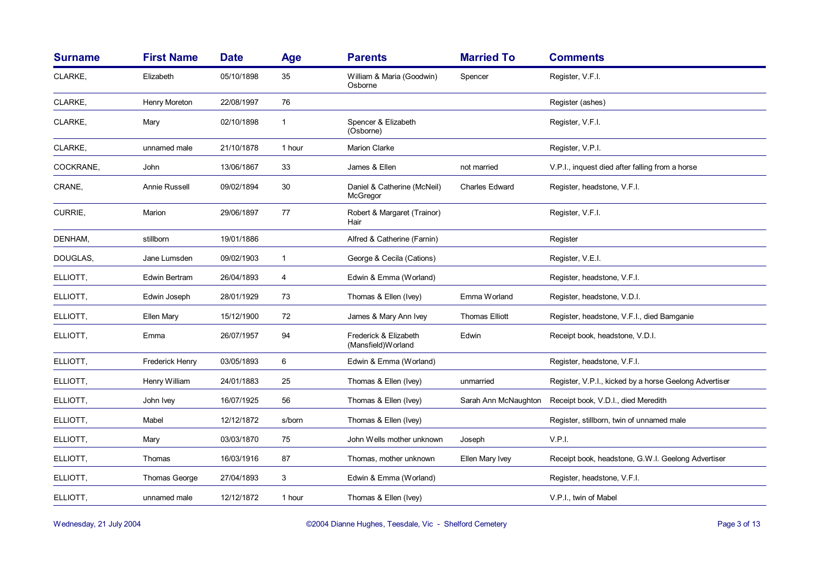| <b>Surname</b> | <b>First Name</b>      | <b>Date</b> | <b>Age</b>   | <b>Parents</b>                               | <b>Married To</b>     | <b>Comments</b>                                        |
|----------------|------------------------|-------------|--------------|----------------------------------------------|-----------------------|--------------------------------------------------------|
| CLARKE,        | Elizabeth              | 05/10/1898  | 35           | William & Maria (Goodwin)<br>Osborne         | Spencer               | Register, V.F.I.                                       |
| CLARKE,        | Henry Moreton          | 22/08/1997  | 76           |                                              |                       | Register (ashes)                                       |
| CLARKE,        | Mary                   | 02/10/1898  | $\mathbf{1}$ | Spencer & Elizabeth<br>(Osborne)             |                       | Register, V.F.I.                                       |
| CLARKE,        | unnamed male           | 21/10/1878  | 1 hour       | Marion Clarke                                |                       | Register, V.P.I.                                       |
| COCKRANE,      | John                   | 13/06/1867  | 33           | James & Ellen                                | not married           | V.P.I., inquest died after falling from a horse        |
| CRANE,         | Annie Russell          | 09/02/1894  | 30           | Daniel & Catherine (McNeil)<br>McGregor      | <b>Charles Edward</b> | Register, headstone, V.F.I.                            |
| CURRIE,        | Marion                 | 29/06/1897  | 77           | Robert & Margaret (Trainor)<br>Hair          |                       | Register, V.F.I.                                       |
| DENHAM,        | stillborn              | 19/01/1886  |              | Alfred & Catherine (Farnin)                  |                       | Register                                               |
| DOUGLAS,       | Jane Lumsden           | 09/02/1903  | $\mathbf{1}$ | George & Cecila (Cations)                    |                       | Register, V.E.I.                                       |
| ELLIOTT,       | Edwin Bertram          | 26/04/1893  | 4            | Edwin & Emma (Worland)                       |                       | Register, headstone, V.F.I.                            |
| ELLIOTT,       | Edwin Joseph           | 28/01/1929  | 73           | Thomas & Ellen (Ivey)                        | Emma Worland          | Register, headstone, V.D.I.                            |
| ELLIOTT,       | Ellen Mary             | 15/12/1900  | 72           | James & Mary Ann Ivey                        | <b>Thomas Elliott</b> | Register, headstone, V.F.I., died Bamganie             |
| ELLIOTT,       | Emma                   | 26/07/1957  | 94           | Frederick & Elizabeth<br>(Mansfield) Worland | Edwin                 | Receipt book, headstone, V.D.I.                        |
| ELLIOTT,       | <b>Frederick Henry</b> | 03/05/1893  | 6            | Edwin & Emma (Worland)                       |                       | Register, headstone, V.F.I.                            |
| ELLIOTT,       | Henry William          | 24/01/1883  | 25           | Thomas & Ellen (Ivey)                        | unmarried             | Register, V.P.I., kicked by a horse Geelong Advertiser |
| ELLIOTT,       | John Ivey              | 16/07/1925  | 56           | Thomas & Ellen (Ivey)                        | Sarah Ann McNaughton  | Receipt book, V.D.I., died Meredith                    |
| ELLIOTT,       | Mabel                  | 12/12/1872  | s/born       | Thomas & Ellen (Ivey)                        |                       | Register, stillborn, twin of unnamed male              |
| ELLIOTT,       | Mary                   | 03/03/1870  | 75           | John Wells mother unknown                    | Joseph                | V.P.I.                                                 |
| ELLIOTT,       | Thomas                 | 16/03/1916  | 87           | Thomas, mother unknown                       | Ellen Mary Ivey       | Receipt book, headstone, G.W.I. Geelong Advertiser     |
| ELLIOTT,       | Thomas George          | 27/04/1893  | 3            | Edwin & Emma (Worland)                       |                       | Register, headstone, V.F.I.                            |
| ELLIOTT.       | unnamed male           | 12/12/1872  | 1 hour       | Thomas & Ellen (Ivey)                        |                       | V.P.I., twin of Mabel                                  |

Wednesday, 21 July 2004 **Dianne Hughes, Teesdale, Vic - Shelford Cemetery** Page 3 of 13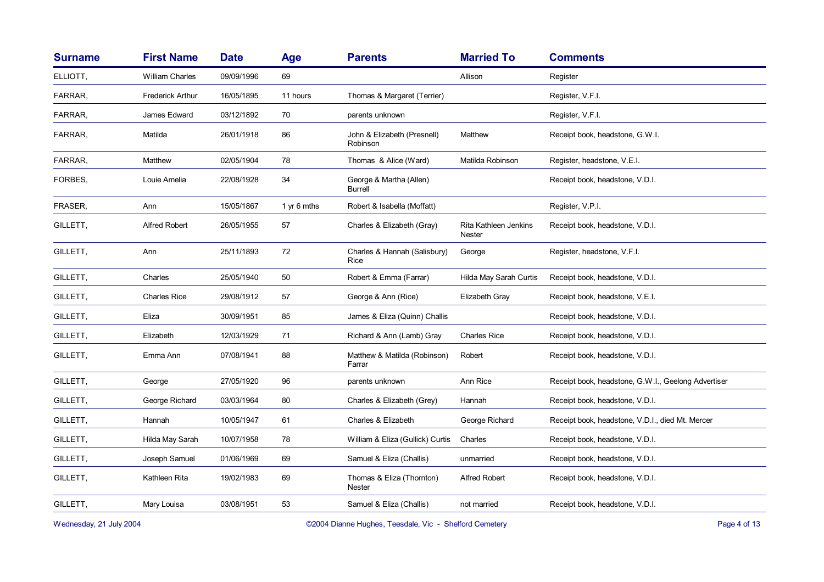| <b>Surname</b> | <b>First Name</b>       | <b>Date</b> | Age         | <b>Parents</b>                             | <b>Married To</b>               | <b>Comments</b>                                     |
|----------------|-------------------------|-------------|-------------|--------------------------------------------|---------------------------------|-----------------------------------------------------|
| ELLIOTT,       | <b>William Charles</b>  | 09/09/1996  | 69          |                                            | Allison                         | Register                                            |
| FARRAR,        | <b>Frederick Arthur</b> | 16/05/1895  | 11 hours    | Thomas & Margaret (Terrier)                |                                 | Register, V.F.I.                                    |
| FARRAR,        | James Edward            | 03/12/1892  | 70          | parents unknown                            |                                 | Register, V.F.I.                                    |
| FARRAR,        | Matilda                 | 26/01/1918  | 86          | John & Elizabeth (Presnell)<br>Robinson    | Matthew                         | Receipt book, headstone, G.W.I.                     |
| FARRAR,        | Matthew                 | 02/05/1904  | 78          | Thomas & Alice (Ward)                      | Matilda Robinson                | Register, headstone, V.E.I.                         |
| FORBES.        | Louie Amelia            | 22/08/1928  | 34          | George & Martha (Allen)<br><b>Burrell</b>  |                                 | Receipt book, headstone, V.D.I.                     |
| FRASER,        | Ann                     | 15/05/1867  | 1 yr 6 mths | Robert & Isabella (Moffatt)                |                                 | Register, V.P.I.                                    |
| GILLETT,       | <b>Alfred Robert</b>    | 26/05/1955  | 57          | Charles & Elizabeth (Gray)                 | Rita Kathleen Jenkins<br>Nester | Receipt book, headstone, V.D.I.                     |
| GILLETT,       | Ann                     | 25/11/1893  | 72          | Charles & Hannah (Salisbury)<br>Rice       | George                          | Register, headstone, V.F.I.                         |
| GILLETT,       | Charles                 | 25/05/1940  | 50          | Robert & Emma (Farrar)                     | Hilda May Sarah Curtis          | Receipt book, headstone, V.D.I.                     |
| GILLETT,       | <b>Charles Rice</b>     | 29/08/1912  | 57          | George & Ann (Rice)                        | Elizabeth Gray                  | Receipt book, headstone, V.E.I.                     |
| GILLETT,       | Eliza                   | 30/09/1951  | 85          | James & Eliza (Quinn) Challis              |                                 | Receipt book, headstone, V.D.I.                     |
| GILLETT,       | Elizabeth               | 12/03/1929  | 71          | Richard & Ann (Lamb) Gray                  | <b>Charles Rice</b>             | Receipt book, headstone, V.D.I.                     |
| GILLETT,       | Emma Ann                | 07/08/1941  | 88          | Matthew & Matilda (Robinson)<br>Farrar     | Robert                          | Receipt book, headstone, V.D.I.                     |
| GILLETT,       | George                  | 27/05/1920  | 96          | parents unknown                            | Ann Rice                        | Receipt book, headstone, G.W.I., Geelong Advertiser |
| GILLETT,       | George Richard          | 03/03/1964  | 80          | Charles & Elizabeth (Grey)                 | Hannah                          | Receipt book, headstone, V.D.I.                     |
| GILLETT,       | Hannah                  | 10/05/1947  | 61          | Charles & Elizabeth                        | George Richard                  | Receipt book, headstone, V.D.I., died Mt. Mercer    |
| GILLETT,       | Hilda May Sarah         | 10/07/1958  | 78          | William & Eliza (Gullick) Curtis           | Charles                         | Receipt book, headstone, V.D.I.                     |
| GILLETT,       | Joseph Samuel           | 01/06/1969  | 69          | Samuel & Eliza (Challis)                   | unmarried                       | Receipt book, headstone, V.D.I.                     |
| GILLETT,       | Kathleen Rita           | 19/02/1983  | 69          | Thomas & Eliza (Thornton)<br><b>Nester</b> | <b>Alfred Robert</b>            | Receipt book, headstone, V.D.I.                     |
| GILLETT,       | Mary Louisa             | 03/08/1951  | 53          | Samuel & Eliza (Challis)                   | not married                     | Receipt book, headstone, V.D.I.                     |
|                |                         |             |             |                                            |                                 |                                                     |

Wednesday, 21 July 2004 **Dianne Hughes, Teesdale, Vic - Shelford Cemetery** Page 4 of 13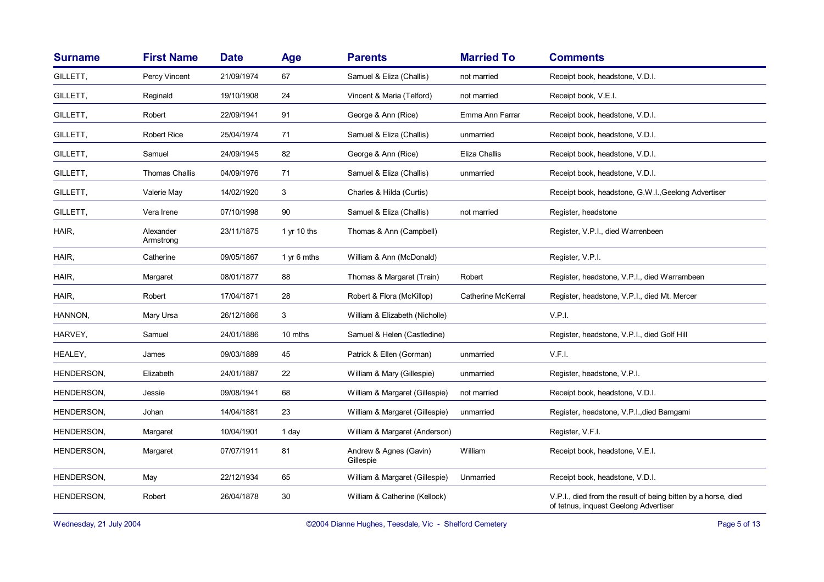| <b>Surname</b> | <b>First Name</b>      | <b>Date</b> | <b>Age</b>  | <b>Parents</b>                      | <b>Married To</b>         | <b>Comments</b>                                                                                        |
|----------------|------------------------|-------------|-------------|-------------------------------------|---------------------------|--------------------------------------------------------------------------------------------------------|
| GILLETT,       | Percy Vincent          | 21/09/1974  | 67          | Samuel & Eliza (Challis)            | not married               | Receipt book, headstone, V.D.I.                                                                        |
| GILLETT,       | Reginald               | 19/10/1908  | 24          | Vincent & Maria (Telford)           | not married               | Receipt book, V.E.I.                                                                                   |
| GILLETT,       | Robert                 | 22/09/1941  | 91          | George & Ann (Rice)                 | Emma Ann Farrar           | Receipt book, headstone, V.D.I.                                                                        |
| GILLETT,       | <b>Robert Rice</b>     | 25/04/1974  | 71          | Samuel & Eliza (Challis)            | unmarried                 | Receipt book, headstone, V.D.I.                                                                        |
| GILLETT,       | Samuel                 | 24/09/1945  | 82          | George & Ann (Rice)                 | Eliza Challis             | Receipt book, headstone, V.D.I.                                                                        |
| GILLETT,       | <b>Thomas Challis</b>  | 04/09/1976  | 71          | Samuel & Eliza (Challis)            | unmarried                 | Receipt book, headstone, V.D.I.                                                                        |
| GILLETT,       | Valerie May            | 14/02/1920  | 3           | Charles & Hilda (Curtis)            |                           | Receipt book, headstone, G.W.I., Geelong Advertiser                                                    |
| GILLETT,       | Vera Irene             | 07/10/1998  | 90          | Samuel & Eliza (Challis)            | not married               | Register, headstone                                                                                    |
| HAIR,          | Alexander<br>Armstrong | 23/11/1875  | 1 yr 10 ths | Thomas & Ann (Campbell)             |                           | Register, V.P.I., died Warrenbeen                                                                      |
| HAIR,          | Catherine              | 09/05/1867  | 1 yr 6 mths | William & Ann (McDonald)            |                           | Register, V.P.I.                                                                                       |
| HAIR,          | Margaret               | 08/01/1877  | 88          | Thomas & Margaret (Train)           | Robert                    | Register, headstone, V.P.I., died Warrambeen                                                           |
| HAIR,          | Robert                 | 17/04/1871  | 28          | Robert & Flora (McKillop)           | <b>Catherine McKerral</b> | Register, headstone, V.P.I., died Mt. Mercer                                                           |
| HANNON,        | Mary Ursa              | 26/12/1866  | 3           | William & Elizabeth (Nicholle)      |                           | V.P.I.                                                                                                 |
| HARVEY,        | Samuel                 | 24/01/1886  | 10 mths     | Samuel & Helen (Castledine)         |                           | Register, headstone, V.P.I., died Golf Hill                                                            |
| HEALEY,        | James                  | 09/03/1889  | 45          | Patrick & Ellen (Gorman)            | unmarried                 | V.F.I.                                                                                                 |
| HENDERSON,     | Elizabeth              | 24/01/1887  | 22          | William & Mary (Gillespie)          | unmarried                 | Register, headstone, V.P.I.                                                                            |
| HENDERSON,     | Jessie                 | 09/08/1941  | 68          | William & Margaret (Gillespie)      | not married               | Receipt book, headstone, V.D.I.                                                                        |
| HENDERSON,     | Johan                  | 14/04/1881  | 23          | William & Margaret (Gillespie)      | unmarried                 | Register, headstone, V.P.I., died Bamgami                                                              |
| HENDERSON,     | Margaret               | 10/04/1901  | 1 day       | William & Margaret (Anderson)       |                           | Register, V.F.I.                                                                                       |
| HENDERSON,     | Margaret               | 07/07/1911  | 81          | Andrew & Agnes (Gavin)<br>Gillespie | William                   | Receipt book, headstone, V.E.I.                                                                        |
| HENDERSON,     | May                    | 22/12/1934  | 65          | William & Margaret (Gillespie)      | Unmarried                 | Receipt book, headstone, V.D.I.                                                                        |
| HENDERSON,     | Robert                 | 26/04/1878  | 30          | William & Catherine (Kellock)       |                           | V.P.I., died from the result of being bitten by a horse, died<br>of tetnus, inquest Geelong Advertiser |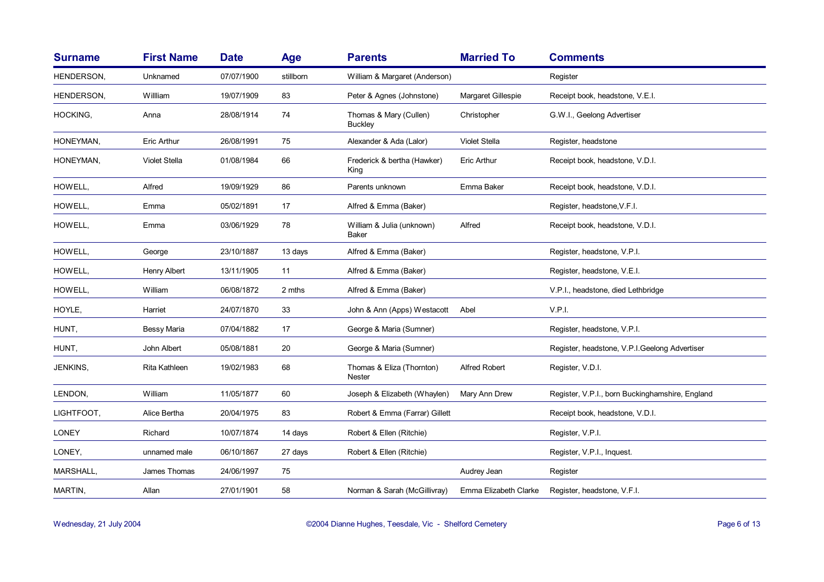| <b>Surname</b> | <b>First Name</b>  | <b>Date</b> | <b>Age</b> | <b>Parents</b>                             | <b>Married To</b>     | <b>Comments</b>                                 |
|----------------|--------------------|-------------|------------|--------------------------------------------|-----------------------|-------------------------------------------------|
| HENDERSON,     | Unknamed           | 07/07/1900  | stillborn  | William & Margaret (Anderson)              |                       | Register                                        |
| HENDERSON.     | Willliam           | 19/07/1909  | 83         | Peter & Agnes (Johnstone)                  | Margaret Gillespie    | Receipt book, headstone, V.E.I.                 |
| HOCKING,       | Anna               | 28/08/1914  | 74         | Thomas & Mary (Cullen)<br><b>Buckley</b>   | Christopher           | G.W.I., Geelong Advertiser                      |
| HONEYMAN,      | <b>Eric Arthur</b> | 26/08/1991  | 75         | Alexander & Ada (Lalor)                    | <b>Violet Stella</b>  | Register, headstone                             |
| HONEYMAN,      | Violet Stella      | 01/08/1984  | 66         | Frederick & bertha (Hawker)<br>King        | <b>Eric Arthur</b>    | Receipt book, headstone, V.D.I.                 |
| HOWELL,        | Alfred             | 19/09/1929  | 86         | Parents unknown                            | Emma Baker            | Receipt book, headstone, V.D.I.                 |
| HOWELL,        | Emma               | 05/02/1891  | 17         | Alfred & Emma (Baker)                      |                       | Register, headstone, V.F.I.                     |
| HOWELL,        | Emma               | 03/06/1929  | 78         | William & Julia (unknown)<br><b>Baker</b>  | Alfred                | Receipt book, headstone, V.D.I.                 |
| HOWELL,        | George             | 23/10/1887  | 13 days    | Alfred & Emma (Baker)                      |                       | Register, headstone, V.P.I.                     |
| HOWELL,        | Henry Albert       | 13/11/1905  | 11         | Alfred & Emma (Baker)                      |                       | Register, headstone, V.E.I.                     |
| HOWELL,        | William            | 06/08/1872  | 2 mths     | Alfred & Emma (Baker)                      |                       | V.P.I., headstone, died Lethbridge              |
| HOYLE,         | Harriet            | 24/07/1870  | 33         | John & Ann (Apps) Westacott                | Abel                  | V.P.I.                                          |
| HUNT,          | Bessy Maria        | 07/04/1882  | 17         | George & Maria (Sumner)                    |                       | Register, headstone, V.P.I.                     |
| HUNT,          | John Albert        | 05/08/1881  | 20         | George & Maria (Sumner)                    |                       | Register, headstone, V.P.I.Geelong Advertiser   |
| JENKINS,       | Rita Kathleen      | 19/02/1983  | 68         | Thomas & Eliza (Thornton)<br><b>Nester</b> | <b>Alfred Robert</b>  | Register, V.D.I.                                |
| LENDON,        | William            | 11/05/1877  | 60         | Joseph & Elizabeth (Whaylen)               | Mary Ann Drew         | Register, V.P.I., born Buckinghamshire, England |
| LIGHTFOOT,     | Alice Bertha       | 20/04/1975  | 83         | Robert & Emma (Farrar) Gillett             |                       | Receipt book, headstone, V.D.I.                 |
| <b>LONEY</b>   | Richard            | 10/07/1874  | 14 days    | Robert & Ellen (Ritchie)                   |                       | Register, V.P.I.                                |
| LONEY,         | unnamed male       | 06/10/1867  | 27 days    | Robert & Ellen (Ritchie)                   |                       | Register, V.P.I., Inquest.                      |
| MARSHALL,      | James Thomas       | 24/06/1997  | 75         |                                            | Audrey Jean           | Register                                        |
| MARTIN,        | Allan              | 27/01/1901  | 58         | Norman & Sarah (McGillivray)               | Emma Elizabeth Clarke | Register, headstone, V.F.I.                     |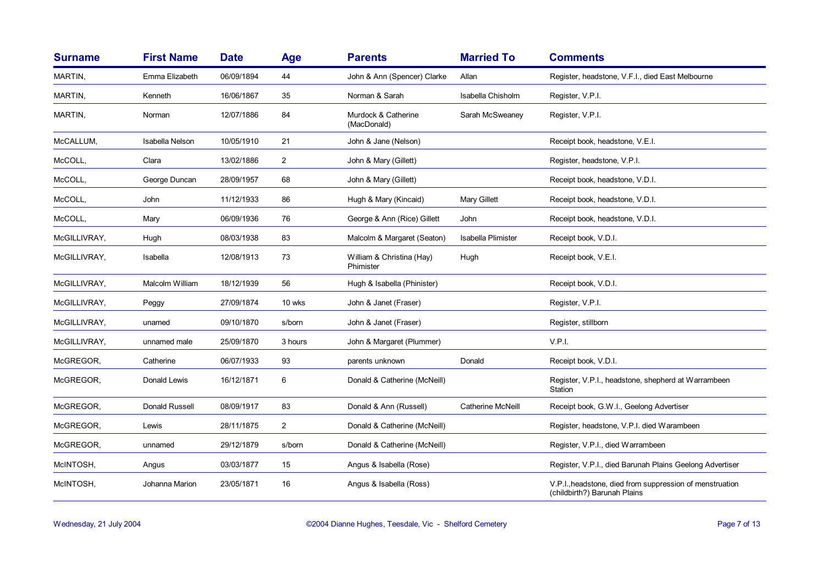| <b>Surname</b> | <b>First Name</b> | <b>Date</b> | <b>Age</b>     | <b>Parents</b>                         | <b>Married To</b>         | <b>Comments</b>                                                                          |
|----------------|-------------------|-------------|----------------|----------------------------------------|---------------------------|------------------------------------------------------------------------------------------|
| MARTIN,        | Emma Elizabeth    | 06/09/1894  | 44             | John & Ann (Spencer) Clarke            | Allan                     | Register, headstone, V.F.I., died East Melbourne                                         |
| MARTIN,        | Kenneth           | 16/06/1867  | 35             | Norman & Sarah                         | Isabella Chisholm         | Register, V.P.I.                                                                         |
| MARTIN,        | Norman            | 12/07/1886  | 84             | Murdock & Catherine<br>(MacDonald)     | Sarah McSweaney           | Register, V.P.I.                                                                         |
| McCALLUM,      | Isabella Nelson   | 10/05/1910  | 21             | John & Jane (Nelson)                   |                           | Receipt book, headstone, V.E.I.                                                          |
| McCOLL,        | Clara             | 13/02/1886  | $\overline{2}$ | John & Mary (Gillett)                  |                           | Register, headstone, V.P.I.                                                              |
| McCOLL,        | George Duncan     | 28/09/1957  | 68             | John & Mary (Gillett)                  |                           | Receipt book, headstone, V.D.I.                                                          |
| McCOLL,        | John              | 11/12/1933  | 86             | Hugh & Mary (Kincaid)                  | Mary Gillett              | Receipt book, headstone, V.D.I.                                                          |
| McCOLL,        | Mary              | 06/09/1936  | 76             | George & Ann (Rice) Gillett            | John                      | Receipt book, headstone, V.D.I.                                                          |
| McGILLIVRAY,   | Hugh              | 08/03/1938  | 83             | Malcolm & Margaret (Seaton)            | <b>Isabella Plimister</b> | Receipt book, V.D.I.                                                                     |
| McGILLIVRAY,   | Isabella          | 12/08/1913  | 73             | William & Christina (Hay)<br>Phimister | Hugh                      | Receipt book, V.E.I.                                                                     |
| McGILLIVRAY,   | Malcolm William   | 18/12/1939  | 56             | Hugh & Isabella (Phinister)            |                           | Receipt book, V.D.I.                                                                     |
| McGILLIVRAY,   | Peggy             | 27/09/1874  | 10 wks         | John & Janet (Fraser)                  |                           | Register, V.P.I.                                                                         |
| McGILLIVRAY,   | unamed            | 09/10/1870  | s/born         | John & Janet (Fraser)                  |                           | Register, stillborn                                                                      |
| McGILLIVRAY,   | unnamed male      | 25/09/1870  | 3 hours        | John & Margaret (Plummer)              |                           | V.P.I.                                                                                   |
| McGREGOR,      | Catherine         | 06/07/1933  | 93             | parents unknown                        | Donald                    | Receipt book, V.D.I.                                                                     |
| McGREGOR,      | Donald Lewis      | 16/12/1871  | 6              | Donald & Catherine (McNeill)           |                           | Register, V.P.I., headstone, shepherd at Warrambeen<br>Station                           |
| McGREGOR,      | Donald Russell    | 08/09/1917  | 83             | Donald & Ann (Russell)                 | <b>Catherine McNeill</b>  | Receipt book, G.W.I., Geelong Advertiser                                                 |
| McGREGOR,      | Lewis             | 28/11/1875  | $\overline{2}$ | Donald & Catherine (McNeill)           |                           | Register, headstone, V.P.I. died Warambeen                                               |
| McGREGOR,      | unnamed           | 29/12/1879  | s/born         | Donald & Catherine (McNeill)           |                           | Register, V.P.I., died Warrambeen                                                        |
| McINTOSH,      | Angus             | 03/03/1877  | 15             | Angus & Isabella (Rose)                |                           | Register, V.P.I., died Barunah Plains Geelong Advertiser                                 |
| McINTOSH,      | Johanna Marion    | 23/05/1871  | 16             | Angus & Isabella (Ross)                |                           | V.P.I., headstone, died from suppression of menstruation<br>(childbirth?) Barunah Plains |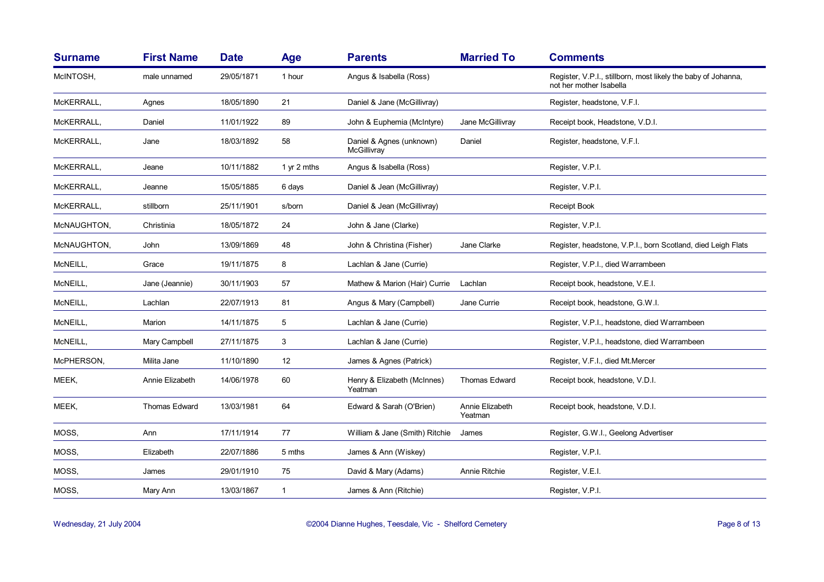| <b>Surname</b> | <b>First Name</b> | <b>Date</b> | <b>Age</b>  | <b>Parents</b>                          | <b>Married To</b>          | <b>Comments</b>                                                                          |
|----------------|-------------------|-------------|-------------|-----------------------------------------|----------------------------|------------------------------------------------------------------------------------------|
| McINTOSH,      | male unnamed      | 29/05/1871  | 1 hour      | Angus & Isabella (Ross)                 |                            | Register, V.P.I., stillborn, most likely the baby of Johanna,<br>not her mother Isabella |
| McKERRALL,     | Agnes             | 18/05/1890  | 21          | Daniel & Jane (McGillivray)             |                            | Register, headstone, V.F.I.                                                              |
| McKERRALL,     | Daniel            | 11/01/1922  | 89          | John & Euphemia (McIntyre)              | Jane McGillivray           | Receipt book, Headstone, V.D.I.                                                          |
| McKERRALL,     | Jane              | 18/03/1892  | 58          | Daniel & Agnes (unknown)<br>McGillivray | Daniel                     | Register, headstone, V.F.I.                                                              |
| MCKERRALL.     | Jeane             | 10/11/1882  | 1 yr 2 mths | Angus & Isabella (Ross)                 |                            | Register, V.P.I.                                                                         |
| McKERRALL,     | Jeanne            | 15/05/1885  | 6 days      | Daniel & Jean (McGillivray)             |                            | Register, V.P.I.                                                                         |
| McKERRALL,     | stillborn         | 25/11/1901  | s/born      | Daniel & Jean (McGillivray)             |                            | Receipt Book                                                                             |
| McNAUGHTON,    | Christinia        | 18/05/1872  | 24          | John & Jane (Clarke)                    |                            | Register, V.P.I.                                                                         |
| McNAUGHTON,    | John              | 13/09/1869  | 48          | John & Christina (Fisher)               | Jane Clarke                | Register, headstone, V.P.I., born Scotland, died Leigh Flats                             |
| McNEILL,       | Grace             | 19/11/1875  | 8           | Lachlan & Jane (Currie)                 |                            | Register, V.P.I., died Warrambeen                                                        |
| McNEILL,       | Jane (Jeannie)    | 30/11/1903  | 57          | Mathew & Marion (Hair) Currie           | Lachlan                    | Receipt book, headstone, V.E.I.                                                          |
| McNEILL,       | Lachlan           | 22/07/1913  | 81          | Angus & Mary (Campbell)                 | Jane Currie                | Receipt book, headstone, G.W.I.                                                          |
| McNEILL,       | Marion            | 14/11/1875  | 5           | Lachlan & Jane (Currie)                 |                            | Register, V.P.I., headstone, died Warrambeen                                             |
| McNEILL,       | Mary Campbell     | 27/11/1875  | 3           | Lachlan & Jane (Currie)                 |                            | Register, V.P.I., headstone, died Warrambeen                                             |
| McPHERSON,     | Milita Jane       | 11/10/1890  | 12          | James & Agnes (Patrick)                 |                            | Register, V.F.I., died Mt.Mercer                                                         |
| MEEK,          | Annie Elizabeth   | 14/06/1978  | 60          | Henry & Elizabeth (McInnes)<br>Yeatman  | <b>Thomas Edward</b>       | Receipt book, headstone, V.D.I.                                                          |
| MEEK,          | Thomas Edward     | 13/03/1981  | 64          | Edward & Sarah (O'Brien)                | Annie Elizabeth<br>Yeatman | Receipt book, headstone, V.D.I.                                                          |
| MOSS,          | Ann               | 17/11/1914  | 77          | William & Jane (Smith) Ritchie          | James                      | Register, G.W.I., Geelong Advertiser                                                     |
| MOSS,          | Elizabeth         | 22/07/1886  | 5 mths      | James & Ann (Wiskey)                    |                            | Register, V.P.I.                                                                         |
| MOSS,          | James             | 29/01/1910  | 75          | David & Mary (Adams)                    | Annie Ritchie              | Register, V.E.I.                                                                         |
| MOSS,          | Mary Ann          | 13/03/1867  | $\mathbf 1$ | James & Ann (Ritchie)                   |                            | Register, V.P.I.                                                                         |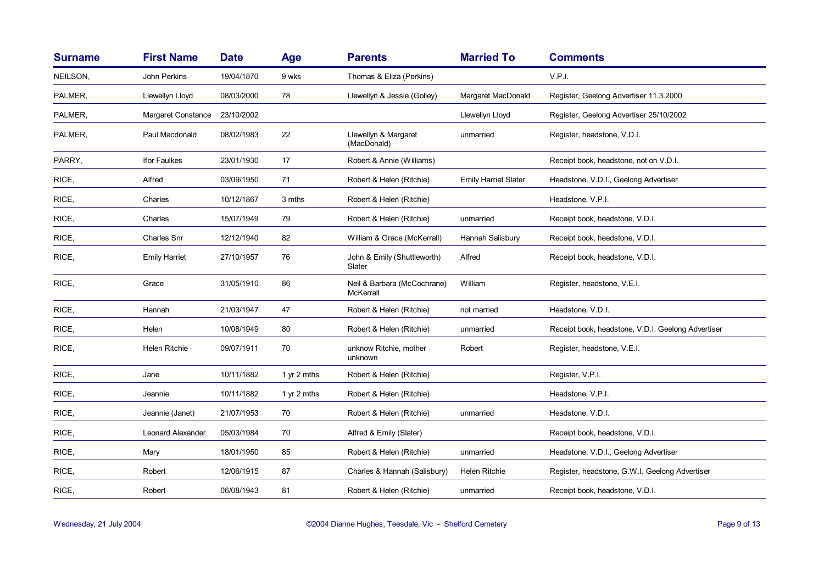| <b>Surname</b> | <b>First Name</b>    | <b>Date</b> | Age         | <b>Parents</b>                           | <b>Married To</b>           | <b>Comments</b>                                    |
|----------------|----------------------|-------------|-------------|------------------------------------------|-----------------------------|----------------------------------------------------|
| NEILSON,       | John Perkins         | 19/04/1870  | 9 wks       | Thomas & Eliza (Perkins)                 |                             | V.P.I.                                             |
| PALMER,        | Llewellyn Lloyd      | 08/03/2000  | 78          | Llewellyn & Jessie (Golley)              | Margaret MacDonald          | Register, Geelong Advertiser 11.3.2000             |
| PALMER,        | Margaret Constance   | 23/10/2002  |             |                                          | Llewellyn Lloyd             | Register, Geelong Advertiser 25/10/2002            |
| PALMER,        | Paul Macdonald       | 08/02/1983  | 22          | Llewellyn & Margaret<br>(MacDonald)      | unmarried                   | Register, headstone, V.D.I.                        |
| PARRY,         | Ifor Faulkes         | 23/01/1930  | 17          | Robert & Annie (Williams)                |                             | Receipt book, headstone, not on V.D.I.             |
| RICE,          | Alfred               | 03/09/1950  | 71          | Robert & Helen (Ritchie)                 | <b>Emily Harriet Slater</b> | Headstone, V.D.I., Geelong Advertiser              |
| RICE,          | Charles              | 10/12/1867  | 3 mths      | Robert & Helen (Ritchie)                 |                             | Headstone, V.P.I.                                  |
| RICE,          | Charles              | 15/07/1949  | 79          | Robert & Helen (Ritchie)                 | unmarried                   | Receipt book, headstone, V.D.I.                    |
| RICE,          | Charles Snr          | 12/12/1940  | 82          | William & Grace (McKerrall)              | Hannah Salisbury            | Receipt book, headstone, V.D.I.                    |
| RICE,          | <b>Emily Harriet</b> | 27/10/1957  | 76          | John & Emily (Shuttleworth)<br>Slater    | Alfred                      | Receipt book, headstone, V.D.I.                    |
| RICE,          | Grace                | 31/05/1910  | 86          | Neil & Barbara (McCochrane)<br>McKerrall | William                     | Register, headstone, V.E.I.                        |
| RICE,          | Hannah               | 21/03/1947  | 47          | Robert & Helen (Ritchie)                 | not married                 | Headstone, V.D.I.                                  |
| RICE,          | Helen                | 10/08/1949  | 80          | Robert & Helen (Ritchie)                 | unmarried                   | Receipt book, headstone, V.D.I. Geelong Advertiser |
| RICE,          | Helen Ritchie        | 09/07/1911  | 70          | unknow Ritchie, mother<br>unknown        | Robert                      | Register, headstone, V.E.I.                        |
| RICE,          | Jane                 | 10/11/1882  | 1 yr 2 mths | Robert & Helen (Ritchie)                 |                             | Register, V.P.I.                                   |
| RICE,          | Jeannie              | 10/11/1882  | 1 yr 2 mths | Robert & Helen (Ritchie)                 |                             | Headstone, V.P.I.                                  |
| RICE,          | Jeannie (Janet)      | 21/07/1953  | 70          | Robert & Helen (Ritchie)                 | unmarried                   | Headstone, V.D.I.                                  |
| RICE,          | Leonard Alexander    | 05/03/1984  | 70          | Alfred & Emily (Slater)                  |                             | Receipt book, headstone, V.D.I.                    |
| RICE,          | Mary                 | 18/01/1950  | 85          | Robert & Helen (Ritchie)                 | unmarried                   | Headstone, V.D.I., Geelong Advertiser              |
| RICE,          | Robert               | 12/06/1915  | 87          | Charles & Hannah (Salisbury)             | Helen Ritchie               | Register, headstone, G.W.I. Geelong Advertiser     |
| RICE,          | Robert               | 06/08/1943  | 81          | Robert & Helen (Ritchie)                 | unmarried                   | Receipt book, headstone, V.D.I.                    |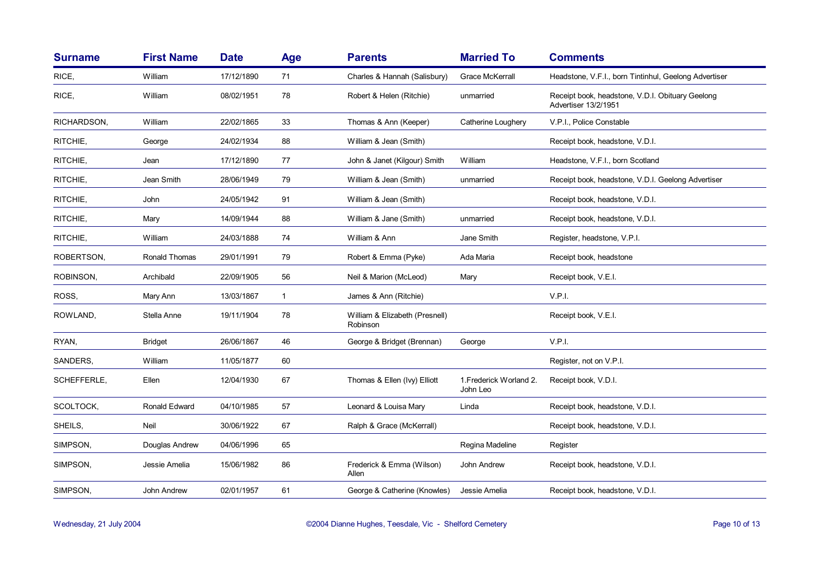| <b>Surname</b> | <b>First Name</b> | <b>Date</b> | <b>Age</b>   | <b>Parents</b>                             | <b>Married To</b>                   | <b>Comments</b>                                                          |
|----------------|-------------------|-------------|--------------|--------------------------------------------|-------------------------------------|--------------------------------------------------------------------------|
| RICE,          | William           | 17/12/1890  | 71           | Charles & Hannah (Salisbury)               | <b>Grace McKerrall</b>              | Headstone, V.F.I., born Tintinhul, Geelong Advertiser                    |
| RICE,          | William           | 08/02/1951  | 78           | Robert & Helen (Ritchie)                   | unmarried                           | Receipt book, headstone, V.D.I. Obituary Geelong<br>Advertiser 13/2/1951 |
| RICHARDSON,    | William           | 22/02/1865  | 33           | Thomas & Ann (Keeper)                      | Catherine Loughery                  | V.P.I., Police Constable                                                 |
| RITCHIE,       | George            | 24/02/1934  | 88           | William & Jean (Smith)                     |                                     | Receipt book, headstone, V.D.I.                                          |
| RITCHIE,       | Jean              | 17/12/1890  | 77           | John & Janet (Kilgour) Smith               | William                             | Headstone, V.F.I., born Scotland                                         |
| RITCHIE,       | Jean Smith        | 28/06/1949  | 79           | William & Jean (Smith)                     | unmarried                           | Receipt book, headstone, V.D.I. Geelong Advertiser                       |
| RITCHIE,       | John              | 24/05/1942  | 91           | William & Jean (Smith)                     |                                     | Receipt book, headstone, V.D.I.                                          |
| RITCHIE,       | Mary              | 14/09/1944  | 88           | William & Jane (Smith)                     | unmarried                           | Receipt book, headstone, V.D.I.                                          |
| RITCHIE,       | William           | 24/03/1888  | 74           | William & Ann                              | Jane Smith                          | Register, headstone, V.P.I.                                              |
| ROBERTSON,     | Ronald Thomas     | 29/01/1991  | 79           | Robert & Emma (Pyke)                       | Ada Maria                           | Receipt book, headstone                                                  |
| ROBINSON,      | Archibald         | 22/09/1905  | 56           | Neil & Marion (McLeod)                     | Mary                                | Receipt book, V.E.I.                                                     |
| ROSS.          | Mary Ann          | 13/03/1867  | $\mathbf{1}$ | James & Ann (Ritchie)                      |                                     | V.P.I.                                                                   |
| ROWLAND,       | Stella Anne       | 19/11/1904  | 78           | William & Elizabeth (Presnell)<br>Robinson |                                     | Receipt book, V.E.I.                                                     |
| RYAN,          | <b>Bridget</b>    | 26/06/1867  | 46           | George & Bridget (Brennan)                 | George                              | V.P.I.                                                                   |
| SANDERS,       | William           | 11/05/1877  | 60           |                                            |                                     | Register, not on V.P.I.                                                  |
| SCHEFFERLE,    | Ellen             | 12/04/1930  | 67           | Thomas & Ellen (Ivy) Elliott               | 1. Frederick Worland 2.<br>John Leo | Receipt book, V.D.I.                                                     |
| SCOLTOCK,      | Ronald Edward     | 04/10/1985  | 57           | Leonard & Louisa Mary                      | Linda                               | Receipt book, headstone, V.D.I.                                          |
| SHEILS,        | Neil              | 30/06/1922  | 67           | Ralph & Grace (McKerrall)                  |                                     | Receipt book, headstone, V.D.I.                                          |
| SIMPSON,       | Douglas Andrew    | 04/06/1996  | 65           |                                            | Regina Madeline                     | Register                                                                 |
| SIMPSON,       | Jessie Amelia     | 15/06/1982  | 86           | Frederick & Emma (Wilson)<br>Allen         | John Andrew                         | Receipt book, headstone, V.D.I.                                          |
| SIMPSON,       | John Andrew       | 02/01/1957  | 61           | George & Catherine (Knowles)               | Jessie Amelia                       | Receipt book, headstone, V.D.I.                                          |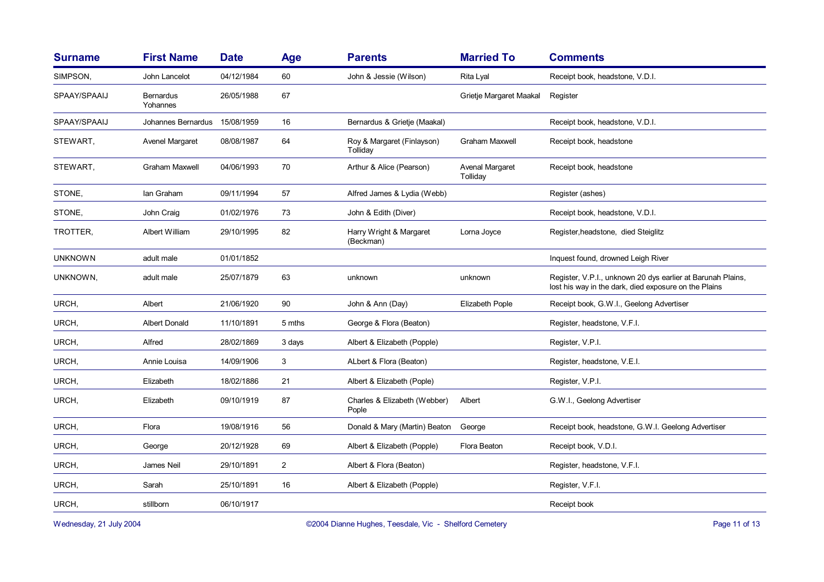| <b>Surname</b> | <b>First Name</b>     | <b>Date</b> | Age            | <b>Parents</b>                         | <b>Married To</b>           | <b>Comments</b>                                                                                                      |
|----------------|-----------------------|-------------|----------------|----------------------------------------|-----------------------------|----------------------------------------------------------------------------------------------------------------------|
| SIMPSON,       | John Lancelot         | 04/12/1984  | 60             | John & Jessie (Wilson)                 | Rita Lyal                   | Receipt book, headstone, V.D.I.                                                                                      |
| SPAAY/SPAAIJ   | Bernardus<br>Yohannes | 26/05/1988  | 67             |                                        | Grietje Margaret Maakal     | Register                                                                                                             |
| SPAAY/SPAAIJ   | Johannes Bernardus    | 15/08/1959  | 16             | Bernardus & Grietje (Maakal)           |                             | Receipt book, headstone, V.D.I.                                                                                      |
| STEWART,       | Avenel Margaret       | 08/08/1987  | 64             | Roy & Margaret (Finlayson)<br>Tolliday | <b>Graham Maxwell</b>       | Receipt book, headstone                                                                                              |
| STEWART,       | <b>Graham Maxwell</b> | 04/06/1993  | 70             | Arthur & Alice (Pearson)               | Avenal Margaret<br>Tolliday | Receipt book, headstone                                                                                              |
| STONE,         | Ian Graham            | 09/11/1994  | 57             | Alfred James & Lydia (Webb)            |                             | Register (ashes)                                                                                                     |
| STONE,         | John Craig            | 01/02/1976  | 73             | John & Edith (Diver)                   |                             | Receipt book, headstone, V.D.I.                                                                                      |
| TROTTER,       | Albert William        | 29/10/1995  | 82             | Harry Wright & Margaret<br>(Beckman)   | Lorna Joyce                 | Register, headstone, died Steiglitz                                                                                  |
| <b>UNKNOWN</b> | adult male            | 01/01/1852  |                |                                        |                             | Inquest found, drowned Leigh River                                                                                   |
| UNKNOWN,       | adult male            | 25/07/1879  | 63             | unknown                                | unknown                     | Register, V.P.I., unknown 20 dys earlier at Barunah Plains,<br>lost his way in the dark, died exposure on the Plains |
| URCH,          | Albert                | 21/06/1920  | 90             | John & Ann (Day)                       | Elizabeth Pople             | Receipt book, G.W.I., Geelong Advertiser                                                                             |
| URCH,          | <b>Albert Donald</b>  | 11/10/1891  | 5 mths         | George & Flora (Beaton)                |                             | Register, headstone, V.F.I.                                                                                          |
| URCH,          | Alfred                | 28/02/1869  | 3 days         | Albert & Elizabeth (Popple)            |                             | Register, V.P.I.                                                                                                     |
| URCH,          | Annie Louisa          | 14/09/1906  | 3              | ALbert & Flora (Beaton)                |                             | Register, headstone, V.E.I.                                                                                          |
| URCH,          | Elizabeth             | 18/02/1886  | 21             | Albert & Elizabeth (Pople)             |                             | Register, V.P.I.                                                                                                     |
| URCH,          | Elizabeth             | 09/10/1919  | 87             | Charles & Elizabeth (Webber)<br>Pople  | Albert                      | G.W.I., Geelong Advertiser                                                                                           |
| URCH,          | Flora                 | 19/08/1916  | 56             | Donald & Mary (Martin) Beaton          | George                      | Receipt book, headstone, G.W.I. Geelong Advertiser                                                                   |
| URCH,          | George                | 20/12/1928  | 69             | Albert & Elizabeth (Popple)            | Flora Beaton                | Receipt book, V.D.I.                                                                                                 |
| URCH,          | James Neil            | 29/10/1891  | $\overline{2}$ | Albert & Flora (Beaton)                |                             | Register, headstone, V.F.I.                                                                                          |
| URCH,          | Sarah                 | 25/10/1891  | 16             | Albert & Elizabeth (Popple)            |                             | Register, V.F.I.                                                                                                     |
| URCH,          | stillborn             | 06/10/1917  |                |                                        |                             | Receipt book                                                                                                         |
|                |                       |             |                |                                        |                             |                                                                                                                      |

Wednesday, 21 July 2004 **Dianne Hughes, Teesdale, Vic - Shelford Cemetery** Page 11 of 13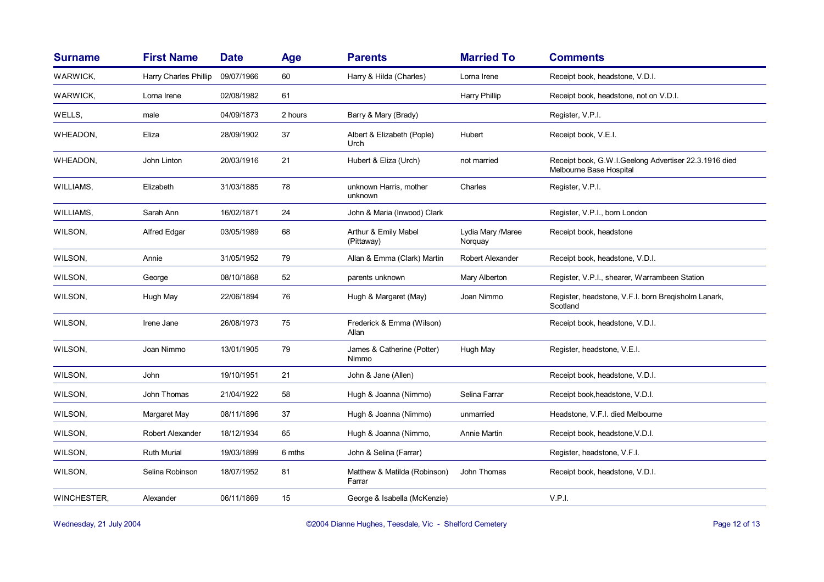| <b>Surname</b> | <b>First Name</b>       | <b>Date</b> | <b>Age</b> | <b>Parents</b>                         | <b>Married To</b>             | <b>Comments</b>                                                                  |
|----------------|-------------------------|-------------|------------|----------------------------------------|-------------------------------|----------------------------------------------------------------------------------|
| WARWICK,       | Harry Charles Phillip   | 09/07/1966  | 60         | Harry & Hilda (Charles)                | Lorna Irene                   | Receipt book, headstone, V.D.I.                                                  |
| WARWICK,       | Lorna Irene             | 02/08/1982  | 61         |                                        | Harry Phillip                 | Receipt book, headstone, not on V.D.I.                                           |
| WELLS,         | male                    | 04/09/1873  | 2 hours    | Barry & Mary (Brady)                   |                               | Register, V.P.I.                                                                 |
| WHEADON,       | Eliza                   | 28/09/1902  | 37         | Albert & Elizabeth (Pople)<br>Urch     | Hubert                        | Receipt book, V.E.I.                                                             |
| WHEADON,       | John Linton             | 20/03/1916  | 21         | Hubert & Eliza (Urch)                  | not married                   | Receipt book, G.W.I.Geelong Advertiser 22.3.1916 died<br>Melbourne Base Hospital |
| WILLIAMS,      | Elizabeth               | 31/03/1885  | 78         | unknown Harris, mother<br>unknown      | Charles                       | Register, V.P.I.                                                                 |
| WILLIAMS,      | Sarah Ann               | 16/02/1871  | 24         | John & Maria (Inwood) Clark            |                               | Register, V.P.I., born London                                                    |
| WILSON,        | <b>Alfred Edgar</b>     | 03/05/1989  | 68         | Arthur & Emily Mabel<br>(Pittaway)     | Lydia Mary / Maree<br>Norquay | Receipt book, headstone                                                          |
| WILSON,        | Annie                   | 31/05/1952  | 79         | Allan & Emma (Clark) Martin            | Robert Alexander              | Receipt book, headstone, V.D.I.                                                  |
| WILSON,        | George                  | 08/10/1868  | 52         | parents unknown                        | Mary Alberton                 | Register, V.P.I., shearer, Warrambeen Station                                    |
| WILSON,        | Hugh May                | 22/06/1894  | 76         | Hugh & Margaret (May)                  | Joan Nimmo                    | Register, headstone, V.F.I. born Bregisholm Lanark,<br>Scotland                  |
| WILSON,        | Irene Jane              | 26/08/1973  | 75         | Frederick & Emma (Wilson)<br>Allan     |                               | Receipt book, headstone, V.D.I.                                                  |
| WILSON,        | Joan Nimmo              | 13/01/1905  | 79         | James & Catherine (Potter)<br>Nimmo    | Hugh May                      | Register, headstone, V.E.I.                                                      |
| WILSON,        | John                    | 19/10/1951  | 21         | John & Jane (Allen)                    |                               | Receipt book, headstone, V.D.I.                                                  |
| WILSON,        | John Thomas             | 21/04/1922  | 58         | Hugh & Joanna (Nimmo)                  | Selina Farrar                 | Receipt book, headstone, V.D.I.                                                  |
| WILSON,        | Margaret May            | 08/11/1896  | 37         | Hugh & Joanna (Nimmo)                  | unmarried                     | Headstone, V.F.I. died Melbourne                                                 |
| WILSON,        | <b>Robert Alexander</b> | 18/12/1934  | 65         | Hugh & Joanna (Nimmo,                  | Annie Martin                  | Receipt book, headstone, V.D.I.                                                  |
| WILSON,        | <b>Ruth Murial</b>      | 19/03/1899  | 6 mths     | John & Selina (Farrar)                 |                               | Register, headstone, V.F.I.                                                      |
| WILSON,        | Selina Robinson         | 18/07/1952  | 81         | Matthew & Matilda (Robinson)<br>Farrar | John Thomas                   | Receipt book, headstone, V.D.I.                                                  |
| WINCHESTER,    | Alexander               | 06/11/1869  | 15         | George & Isabella (McKenzie)           |                               | V.P.I.                                                                           |